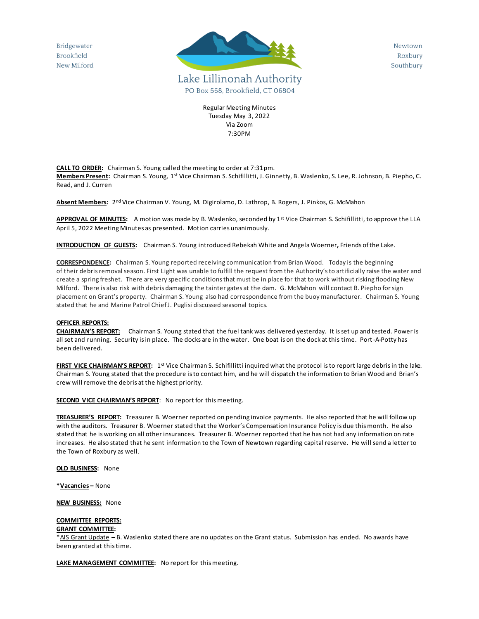Bridgewater **Brookfield** New Milford



Newtown Roxbury Southbury

Regular Meeting Minutes Tuesday May 3, 2022 Via Zoom 7:30PM

**CALL TO ORDER:** Chairman S. Young called the meeting to order at 7:31pm. **Members Present**: Chairman S. Young, 1st Vice Chairman S. Schifillitti, J. Ginnetty, B. Waslenko, S. Lee, R. Johnson, B. Piepho, C. Read, and J. Curren

**Absent Members:** 2 nd Vice Chairman V. Young, M. Digirolamo, D. Lathrop, B. Rogers, J. Pinkos, G. McMahon

**APPROVAL OF MINUTES:** A motion was made by B. Waslenko, seconded by 1st Vice Chairman S. Schifillitti, to approve the LLA April 5, 2022 Meeting Minutes as presented. Motion carries unanimously.

**INTRODUCTION OF GUESTS:** Chairman S. Young introduced Rebekah White and Angela Woerner**,** Friends of the Lake.

**CORRESPONDENCE:** Chairman S. Young reported receiving communication from Brian Wood. Today is the beginning of their debris removal season. First Light was unable to fulfill the request from the Authority's to artificially raise the water and create a spring freshet. There are very specific conditions that must be in place for that to work without risking flooding New Milford. There is also risk with debris damaging the tainter gates at the dam. G. McMahon will contact B. Piepho for sign placement on Grant's property. Chairman S. Young also had correspondence from the buoy manufacturer. Chairman S. Young stated that he and Marine Patrol Chief J. Puglisi discussed seasonal topics.

## **OFFICER REPORTS:**

**CHAIRMAN'S REPORT:** Chairman S. Young stated that the fuel tank was delivered yesterday. It is set up and tested. Power is all set and running. Security is in place. The docks are in the water. One boat is on the dock at this time. Port-A-Potty has been delivered.

FIRST VICE CHAIRMAN'S REPORT: 1<sup>st</sup> Vice Chairman S. Schifillitti inquired what the protocol is to report large debris in the lake. Chairman S. Young stated that the procedure is to contact him, and he will dispatch the information to Brian Wood and Brian's crew will remove the debris at the highest priority.

**SECOND VICE CHAIRMAN'S REPORT:** No report for this meeting.

**TREASURER'S REPORT:** Treasurer B. Woerner reported on pending invoice payments. He also reported that he will follow up with the auditors. Treasurer B. Woerner stated that the Worker's Compensation Insurance Policy is due this month. He also stated that he is working on all other insurances. Treasurer B. Woerner reported that he has not had any information on rate increases. He also stated that he sent information to the Town of Newtown regarding capital reserve. He will send a letter to the Town of Roxbury as well.

**OLD BUSINESS:** None

**\*Vacancies –** None

**NEW BUSINESS:** None

## **COMMITTEE REPORTS:**

## **GRANT COMMITTEE:**

\*AIS Grant Update – B. Waslenko stated there are no updates on the Grant status. Submission has ended. No awards have been granted at this time.

**LAKE MANAGEMENT COMMITTEE:** No report for this meeting.